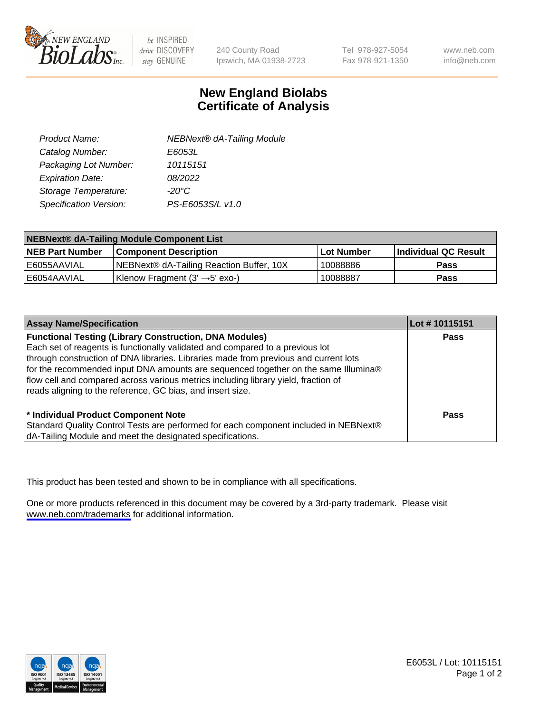

be INSPIRED drive DISCOVERY stay GENUINE

240 County Road Ipswich, MA 01938-2723 Tel 978-927-5054 Fax 978-921-1350

www.neb.com info@neb.com

## **New England Biolabs Certificate of Analysis**

| <b>NEBNext® dA-Tailing Module</b> |
|-----------------------------------|
| E6053L                            |
| 10115151                          |
| 08/2022                           |
| $-20^{\circ}$ C                   |
| PS-E6053S/L v1.0                  |
|                                   |

| NEBNext® dA-Tailing Module Component List |                                            |            |                      |  |
|-------------------------------------------|--------------------------------------------|------------|----------------------|--|
| <b>NEB Part Number</b>                    | <b>Component Description</b>               | Lot Number | Individual QC Result |  |
| E6055AAVIAL                               | NEBNext® dA-Tailing Reaction Buffer, 10X   | 10088886   | <b>Pass</b>          |  |
| I E6054AAVIAL                             | Klenow Fragment (3' $\rightarrow$ 5' exo-) | 10088887   | <b>Pass</b>          |  |

| <b>Assay Name/Specification</b>                                                                                                                                                                                                                                                                                                                                                                                                                                                  | Lot #10115151 |
|----------------------------------------------------------------------------------------------------------------------------------------------------------------------------------------------------------------------------------------------------------------------------------------------------------------------------------------------------------------------------------------------------------------------------------------------------------------------------------|---------------|
| <b>Functional Testing (Library Construction, DNA Modules)</b><br>Each set of reagents is functionally validated and compared to a previous lot<br>through construction of DNA libraries. Libraries made from previous and current lots<br>for the recommended input DNA amounts are sequenced together on the same Illumina®<br>flow cell and compared across various metrics including library yield, fraction of<br>reads aligning to the reference, GC bias, and insert size. | <b>Pass</b>   |
| <sup>*</sup> Individual Product Component Note<br>Standard Quality Control Tests are performed for each component included in NEBNext®<br>dA-Tailing Module and meet the designated specifications.                                                                                                                                                                                                                                                                              | Pass          |

This product has been tested and shown to be in compliance with all specifications.

One or more products referenced in this document may be covered by a 3rd-party trademark. Please visit <www.neb.com/trademarks>for additional information.